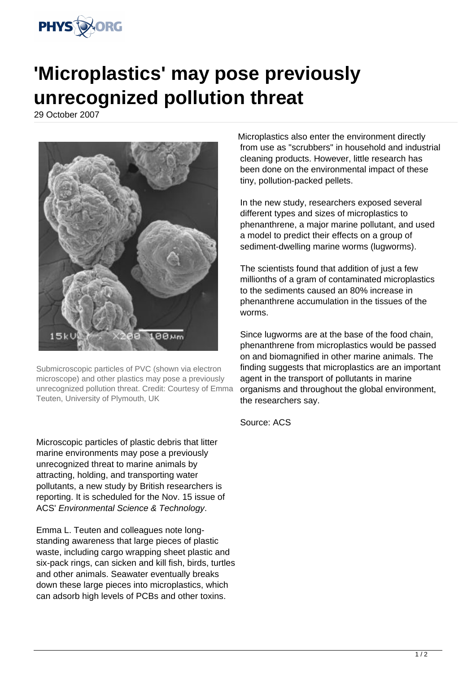

## **'Microplastics' may pose previously unrecognized pollution threat**

29 October 2007



Submicroscopic particles of PVC (shown via electron microscope) and other plastics may pose a previously unrecognized pollution threat. Credit: Courtesy of Emma Teuten, University of Plymouth, UK

Microscopic particles of plastic debris that litter marine environments may pose a previously unrecognized threat to marine animals by attracting, holding, and transporting water pollutants, a new study by British researchers is reporting. It is scheduled for the Nov. 15 issue of ACS' Environmental Science & Technology.

Emma L. Teuten and colleagues note longstanding awareness that large pieces of plastic waste, including cargo wrapping sheet plastic and six-pack rings, can sicken and kill fish, birds, turtles and other animals. Seawater eventually breaks down these large pieces into microplastics, which can adsorb high levels of PCBs and other toxins.

Microplastics also enter the environment directly from use as "scrubbers" in household and industrial cleaning products. However, little research has been done on the environmental impact of these tiny, pollution-packed pellets.

In the new study, researchers exposed several different types and sizes of microplastics to phenanthrene, a major marine pollutant, and used a model to predict their effects on a group of sediment-dwelling marine worms (lugworms).

The scientists found that addition of just a few millionths of a gram of contaminated microplastics to the sediments caused an 80% increase in phenanthrene accumulation in the tissues of the worms.

Since lugworms are at the base of the food chain, phenanthrene from microplastics would be passed on and biomagnified in other marine animals. The finding suggests that microplastics are an important agent in the transport of pollutants in marine organisms and throughout the global environment, the researchers say.

Source: ACS